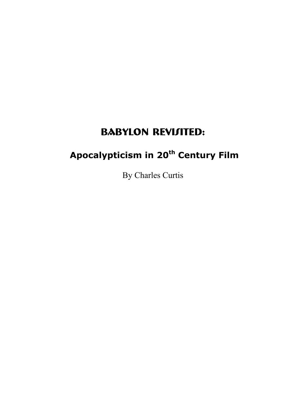## BABYLON REVIJITED:

## **Apocalypticism in 20<sup>th</sup> Century Film**

By Charles Curtis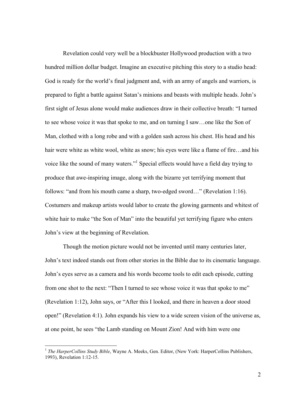Revelation could very well be a blockbuster Hollywood production with a two hundred million dollar budget. Imagine an executive pitching this story to a studio head: God is ready for the world's final judgment and, with an army of angels and warriors, is prepared to fight a battle against Satan's minions and beasts with multiple heads. John's first sight of Jesus alone would make audiences draw in their collective breath: "I turned to see whose voice it was that spoke to me, and on turning I saw…one like the Son of Man, clothed with a long robe and with a golden sash across his chest. His head and his hair were white as white wool, white as snow; his eyes were like a flame of fire...and his voice like the sound of many waters."<sup>1</sup> Special effects would have a field day trying to produce that awe-inspiring image, along with the bizarre yet terrifying moment that follows: "and from his mouth came a sharp, two-edged sword…" (Revelation 1:16). Costumers and makeup artists would labor to create the glowing garments and whitest of white hair to make "the Son of Man" into the beautiful yet terrifying figure who enters John's view at the beginning of Revelation.

Though the motion picture would not be invented until many centuries later, John's text indeed stands out from other stories in the Bible due to its cinematic language. John's eyes serve as a camera and his words become tools to edit each episode, cutting from one shot to the next: "Then I turned to see whose voice it was that spoke to me" (Revelation 1:12), John says, or "After this I looked, and there in heaven a door stood open!" (Revelation 4:1). John expands his view to a wide screen vision of the universe as, at one point, he sees "the Lamb standing on Mount Zion! And with him were one

 $\overline{a}$ 

<sup>&</sup>lt;sup>1</sup> The HarperCollins Study Bible, Wayne A. Meeks, Gen. Editor, (New York: HarperCollins Publishers, 1993), Revelation 1:12-15.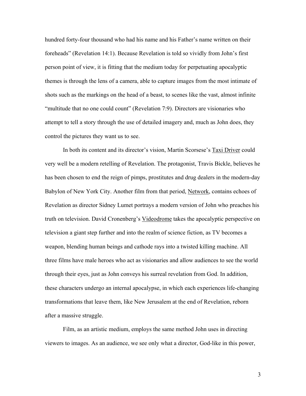hundred forty-four thousand who had his name and his Father's name written on their foreheads" (Revelation 14:1). Because Revelation is told so vividly from John's first person point of view, it is fitting that the medium today for perpetuating apocalyptic themes is through the lens of a camera, able to capture images from the most intimate of shots such as the markings on the head of a beast, to scenes like the vast, almost infinite "multitude that no one could count" (Revelation 7:9). Directors are visionaries who attempt to tell a story through the use of detailed imagery and, much as John does, they control the pictures they want us to see.

In both its content and its director's vision, Martin Scorsese's Taxi Driver could very well be a modern retelling of Revelation. The protagonist, Travis Bickle, believes he has been chosen to end the reign of pimps, prostitutes and drug dealers in the modern-day Babylon of New York City. Another film from that period, Network, contains echoes of Revelation as director Sidney Lumet portrays a modern version of John who preaches his truth on television. David Cronenberg's <u>Videodrome</u> takes the apocalyptic perspective on television a giant step further and into the realm of science fiction, as TV becomes a weapon, blending human beings and cathode rays into a twisted killing machine. All three films have male heroes who act as visionaries and allow audiences to see the world through their eyes, just as John conveys his surreal revelation from God. In addition, these characters undergo an internal apocalypse, in which each experiences life-changing transformations that leave them, like New Jerusalem at the end of Revelation, reborn after a massive struggle.

 Film, as an artistic medium, employs the same method John uses in directing viewers to images. As an audience, we see only what a director, God-like in this power,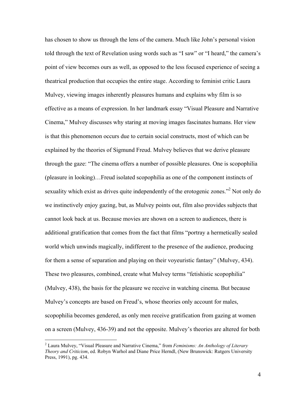has chosen to show us through the lens of the camera. Much like John's personal vision told through the text of Revelation using words such as "I saw" or "I heard," the camera's point of view becomes ours as well, as opposed to the less focused experience of seeing a theatrical production that occupies the entire stage. According to feminist critic Laura Mulvey, viewing images inherently pleasures humans and explains why film is so effective as a means of expression. In her landmark essay "Visual Pleasure and Narrative Cinema," Mulvey discusses why staring at moving images fascinates humans. Her view is that this phenomenon occurs due to certain social constructs, most of which can be explained by the theories of Sigmund Freud. Mulvey believes that we derive pleasure through the gaze: "The cinema offers a number of possible pleasures. One is scopophilia (pleasure in looking)…Freud isolated scopophilia as one of the component instincts of sexuality which exist as drives quite independently of the erotogenic zones."<sup>2</sup> Not only do we instinctively enjoy gazing, but, as Mulvey points out, film also provides subjects that cannot look back at us. Because movies are shown on a screen to audiences, there is additional gratification that comes from the fact that films "portray a hermetically sealed world which unwinds magically, indifferent to the presence of the audience, producing for them a sense of separation and playing on their voyeuristic fantasy" (Mulvey, 434). These two pleasures, combined, create what Mulvey terms "fetishistic scopophilia" (Mulvey, 438), the basis for the pleasure we receive in watching cinema. But because Mulvey's concepts are based on Freud's, whose theories only account for males, scopophilia becomes gendered, as only men receive gratification from gazing at women on a screen (Mulvey, 436-39) and not the opposite. Mulvey's theories are altered for both

 $\overline{a}$ 

<sup>2</sup> Laura Mulvey, "Visual Pleasure and Narrative Cinema," from *Feminisms: An Anthology of Literary Theory and Criticism*, ed. Robyn Warhol and Diane Price Herndl, (New Brunswick: Rutgers University Press, 1991), pg. 434.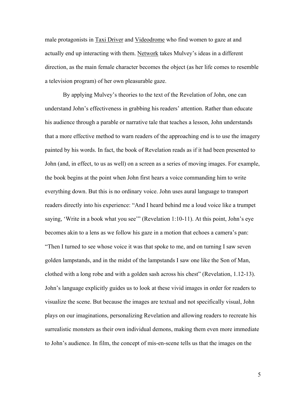male protagonists in Taxi Driver and Videodrome who find women to gaze at and actually end up interacting with them. Network takes Mulvey's ideas in a different direction, as the main female character becomes the object (as her life comes to resemble a television program) of her own pleasurable gaze.

By applying Mulvey's theories to the text of the Revelation of John, one can understand John's effectiveness in grabbing his readers' attention. Rather than educate his audience through a parable or narrative tale that teaches a lesson, John understands that a more effective method to warn readers of the approaching end is to use the imagery painted by his words. In fact, the book of Revelation reads as if it had been presented to John (and, in effect, to us as well) on a screen as a series of moving images. For example, the book begins at the point when John first hears a voice commanding him to write everything down. But this is no ordinary voice. John uses aural language to transport readers directly into his experience: "And I heard behind me a loud voice like a trumpet saying, 'Write in a book what you see'" (Revelation 1:10-11). At this point, John's eye becomes akin to a lens as we follow his gaze in a motion that echoes a camera's pan: "Then I turned to see whose voice it was that spoke to me, and on turning I saw seven golden lampstands, and in the midst of the lampstands I saw one like the Son of Man, clothed with a long robe and with a golden sash across his chest" (Revelation, 1.12-13). John's language explicitly guides us to look at these vivid images in order for readers to visualize the scene. But because the images are textual and not specifically visual, John plays on our imaginations, personalizing Revelation and allowing readers to recreate his surrealistic monsters as their own individual demons, making them even more immediate to John's audience. In film, the concept of mis-en-scene tells us that the images on the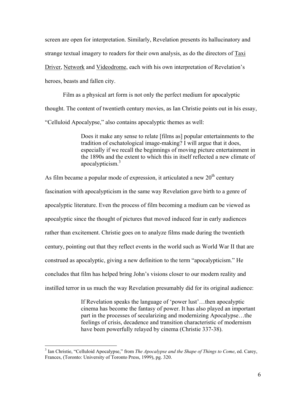screen are open for interpretation. Similarly, Revelation presents its hallucinatory and strange textual imagery to readers for their own analysis, as do the directors of Taxi Driver, Network and Videodrome, each with his own interpretation of Revelation's heroes, beasts and fallen city.

 Film as a physical art form is not only the perfect medium for apocalyptic thought. The content of twentieth century movies, as Ian Christie points out in his essay, "Celluloid Apocalypse," also contains apocalyptic themes as well:

> Does it make any sense to relate [films as] popular entertainments to the tradition of eschatological image-making? I will argue that it does, especially if we recall the beginnings of moving picture entertainment in the 1890s and the extent to which this in itself reflected a new climate of apocalypticism.<sup>3</sup>

As film became a popular mode of expression, it articulated a new  $20<sup>th</sup>$  century fascination with apocalypticism in the same way Revelation gave birth to a genre of apocalyptic literature. Even the process of film becoming a medium can be viewed as apocalyptic since the thought of pictures that moved induced fear in early audiences rather than excitement. Christie goes on to analyze films made during the twentieth century, pointing out that they reflect events in the world such as World War II that are construed as apocalyptic, giving a new definition to the term "apocalypticism." He concludes that film has helped bring John's visions closer to our modern reality and instilled terror in us much the way Revelation presumably did for its original audience:

> If Revelation speaks the language of 'power lust'…then apocalyptic cinema has become the fantasy of power. It has also played an important part in the processes of secularizing and modernizing Apocalypse…the feelings of crisis, decadence and transition characteristic of modernism have been powerfully relayed by cinema (Christie 337-38).

 $\overline{a}$ 

<sup>&</sup>lt;sup>3</sup> Ian Christie, "Celluloid Apocalypse," from *The Apocalypse and the Shape of Things to Come*, ed. Carey, Frances, (Toronto: University of Toronto Press, 1999), pg. 320.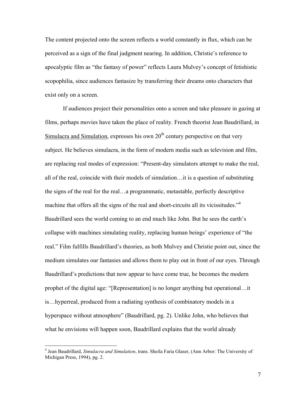The content projected onto the screen reflects a world constantly in flux, which can be perceived as a sign of the final judgment nearing. In addition, Christie's reference to apocalyptic film as "the fantasy of power" reflects Laura Mulvey's concept of fetishistic scopophilia, since audiences fantasize by transferring their dreams onto characters that exist only on a screen.

 If audiences project their personalities onto a screen and take pleasure in gazing at films, perhaps movies have taken the place of reality. French theorist Jean Baudrillard, in Simulacra and Simulation, expresses his own  $20<sup>th</sup>$  century perspective on that very subject. He believes simulacra, in the form of modern media such as television and film, are replacing real modes of expression: "Present-day simulators attempt to make the real, all of the real, coincide with their models of simulation…it is a question of substituting the signs of the real for the real…a programmatic, metastable, perfectly descriptive machine that offers all the signs of the real and short-circuits all its vicissitudes."<sup>4</sup> Baudrillard sees the world coming to an end much like John. But he sees the earth's collapse with machines simulating reality, replacing human beings' experience of "the real." Film fulfills Baudrillard's theories, as both Mulvey and Christie point out, since the medium simulates our fantasies and allows them to play out in front of our eyes. Through Baudrillard's predictions that now appear to have come true, he becomes the modern prophet of the digital age: "[Representation] is no longer anything but operational…it is…hyperreal, produced from a radiating synthesis of combinatory models in a hyperspace without atmosphere" (Baudrillard, pg. 2). Unlike John, who believes that what he envisions will happen soon, Baudrillard explains that the world already

 $\overline{a}$ 

<sup>4</sup> Jean Baudrillard, *Simulacra and Simulation*, trans. Sheila Faria Glaser, (Ann Arbor: The University of Michigan Press, 1994), pg. 2.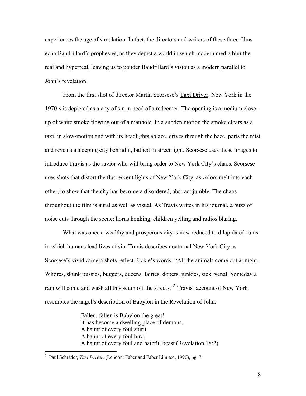experiences the age of simulation. In fact, the directors and writers of these three films echo Baudrillard's prophesies, as they depict a world in which modern media blur the real and hyperreal, leaving us to ponder Baudrillard's vision as a modern parallel to John's revelation.

From the first shot of director Martin Scorsese's Taxi Driver, New York in the 1970's is depicted as a city of sin in need of a redeemer. The opening is a medium closeup of white smoke flowing out of a manhole. In a sudden motion the smoke clears as a taxi, in slow-motion and with its headlights ablaze, drives through the haze, parts the mist and reveals a sleeping city behind it, bathed in street light. Scorsese uses these images to introduce Travis as the savior who will bring order to New York City's chaos. Scorsese uses shots that distort the fluorescent lights of New York City, as colors melt into each other, to show that the city has become a disordered, abstract jumble. The chaos throughout the film is aural as well as visual. As Travis writes in his journal, a buzz of noise cuts through the scene: horns honking, children yelling and radios blaring.

What was once a wealthy and prosperous city is now reduced to dilapidated ruins in which humans lead lives of sin. Travis describes nocturnal New York City as Scorsese's vivid camera shots reflect Bickle's words: "All the animals come out at night. Whores, skunk pussies, buggers, queens, fairies, dopers, junkies, sick, venal. Someday a rain will come and wash all this scum off the streets."<sup>5</sup> Travis' account of New York resembles the angel's description of Babylon in the Revelation of John:

> Fallen, fallen is Babylon the great! It has become a dwelling place of demons, A haunt of every foul spirit, A haunt of every foul bird, A haunt of every foul and hateful beast (Revelation 18:2).

 5 Paul Schrader, *Taxi Driver,* (London: Faber and Faber Limited, 1990), pg. 7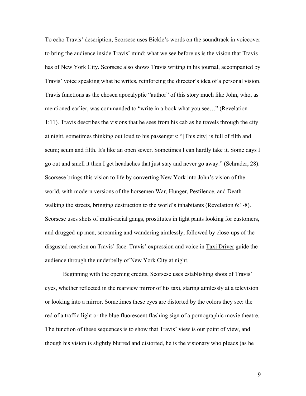To echo Travis' description, Scorsese uses Bickle's words on the soundtrack in voiceover to bring the audience inside Travis' mind: what we see before us is the vision that Travis has of New York City. Scorsese also shows Travis writing in his journal, accompanied by Travis' voice speaking what he writes, reinforcing the director's idea of a personal vision. Travis functions as the chosen apocalyptic "author" of this story much like John, who, as mentioned earlier, was commanded to "write in a book what you see…" (Revelation 1:11). Travis describes the visions that he sees from his cab as he travels through the city at night, sometimes thinking out loud to his passengers: "[This city] is full of filth and scum; scum and filth. It's like an open sewer. Sometimes I can hardly take it. Some days I go out and smell it then I get headaches that just stay and never go away." (Schrader, 28). Scorsese brings this vision to life by converting New York into John's vision of the world, with modern versions of the horsemen War, Hunger, Pestilence, and Death walking the streets, bringing destruction to the world's inhabitants (Revelation 6:1-8). Scorsese uses shots of multi-racial gangs, prostitutes in tight pants looking for customers, and drugged-up men, screaming and wandering aimlessly, followed by close-ups of the disgusted reaction on Travis' face. Travis' expression and voice in Taxi Driver guide the audience through the underbelly of New York City at night.

Beginning with the opening credits, Scorsese uses establishing shots of Travis' eyes, whether reflected in the rearview mirror of his taxi, staring aimlessly at a television or looking into a mirror. Sometimes these eyes are distorted by the colors they see: the red of a traffic light or the blue fluorescent flashing sign of a pornographic movie theatre. The function of these sequences is to show that Travis' view is our point of view, and though his vision is slightly blurred and distorted, he is the visionary who pleads (as he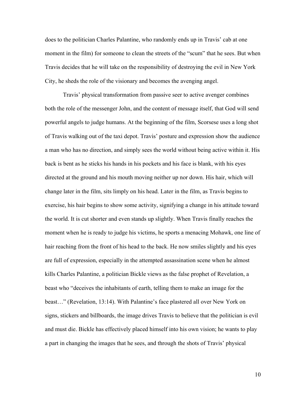does to the politician Charles Palantine, who randomly ends up in Travis' cab at one moment in the film) for someone to clean the streets of the "scum" that he sees. But when Travis decides that he will take on the responsibility of destroying the evil in New York City, he sheds the role of the visionary and becomes the avenging angel.

Travis' physical transformation from passive seer to active avenger combines both the role of the messenger John, and the content of message itself, that God will send powerful angels to judge humans. At the beginning of the film, Scorsese uses a long shot of Travis walking out of the taxi depot. Travis' posture and expression show the audience a man who has no direction, and simply sees the world without being active within it. His back is bent as he sticks his hands in his pockets and his face is blank, with his eyes directed at the ground and his mouth moving neither up nor down. His hair, which will change later in the film, sits limply on his head. Later in the film, as Travis begins to exercise, his hair begins to show some activity, signifying a change in his attitude toward the world. It is cut shorter and even stands up slightly. When Travis finally reaches the moment when he is ready to judge his victims, he sports a menacing Mohawk, one line of hair reaching from the front of his head to the back. He now smiles slightly and his eyes are full of expression, especially in the attempted assassination scene when he almost kills Charles Palantine, a politician Bickle views as the false prophet of Revelation, a beast who "deceives the inhabitants of earth, telling them to make an image for the beast…" (Revelation, 13:14). With Palantine's face plastered all over New York on signs, stickers and billboards, the image drives Travis to believe that the politician is evil and must die. Bickle has effectively placed himself into his own vision; he wants to play a part in changing the images that he sees, and through the shots of Travis' physical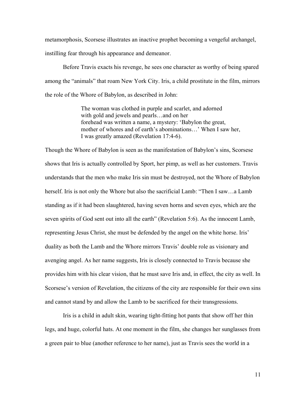metamorphosis, Scorsese illustrates an inactive prophet becoming a vengeful archangel, instilling fear through his appearance and demeanor.

 Before Travis exacts his revenge, he sees one character as worthy of being spared among the "animals" that roam New York City. Iris, a child prostitute in the film, mirrors the role of the Whore of Babylon, as described in John:

> The woman was clothed in purple and scarlet, and adorned with gold and jewels and pearls…and on her forehead was written a name, a mystery: 'Babylon the great, mother of whores and of earth's abominations…' When I saw her, I was greatly amazed (Revelation 17:4-6).

Though the Whore of Babylon is seen as the manifestation of Babylon's sins, Scorsese shows that Iris is actually controlled by Sport, her pimp, as well as her customers. Travis understands that the men who make Iris sin must be destroyed, not the Whore of Babylon herself. Iris is not only the Whore but also the sacrificial Lamb: "Then I saw…a Lamb standing as if it had been slaughtered, having seven horns and seven eyes, which are the seven spirits of God sent out into all the earth" (Revelation 5:6). As the innocent Lamb, representing Jesus Christ, she must be defended by the angel on the white horse. Iris' duality as both the Lamb and the Whore mirrors Travis' double role as visionary and avenging angel. As her name suggests, Iris is closely connected to Travis because she provides him with his clear vision, that he must save Iris and, in effect, the city as well. In Scorsese's version of Revelation, the citizens of the city are responsible for their own sins and cannot stand by and allow the Lamb to be sacrificed for their transgressions.

Iris is a child in adult skin, wearing tight-fitting hot pants that show off her thin legs, and huge, colorful hats. At one moment in the film, she changes her sunglasses from a green pair to blue (another reference to her name), just as Travis sees the world in a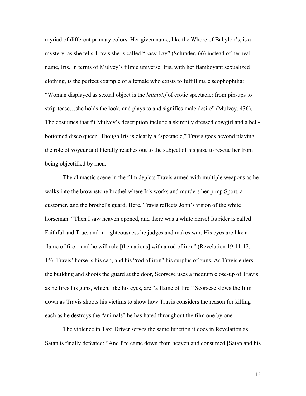myriad of different primary colors. Her given name, like the Whore of Babylon's, is a mystery, as she tells Travis she is called "Easy Lay" (Schrader, 66) instead of her real name, Iris. In terms of Mulvey's filmic universe, Iris, with her flamboyant sexualized clothing, is the perfect example of a female who exists to fulfill male scophophilia: "Woman displayed as sexual object is the *leitmotif* of erotic spectacle: from pin-ups to strip-tease…she holds the look, and plays to and signifies male desire" (Mulvey, 436). The costumes that fit Mulvey's description include a skimpily dressed cowgirl and a bellbottomed disco queen. Though Iris is clearly a "spectacle," Travis goes beyond playing the role of voyeur and literally reaches out to the subject of his gaze to rescue her from being objectified by men.

The climactic scene in the film depicts Travis armed with multiple weapons as he walks into the brownstone brothel where Iris works and murders her pimp Sport, a customer, and the brothel's guard. Here, Travis reflects John's vision of the white horseman: "Then I saw heaven opened, and there was a white horse! Its rider is called Faithful and True, and in righteousness he judges and makes war. His eyes are like a flame of fire…and he will rule [the nations] with a rod of iron" (Revelation 19:11-12, 15). Travis' horse is his cab, and his "rod of iron" his surplus of guns. As Travis enters the building and shoots the guard at the door, Scorsese uses a medium close-up of Travis as he fires his guns, which, like his eyes, are "a flame of fire." Scorsese slows the film down as Travis shoots his victims to show how Travis considers the reason for killing each as he destroys the "animals" he has hated throughout the film one by one.

 The violence in Taxi Driver serves the same function it does in Revelation as Satan is finally defeated: "And fire came down from heaven and consumed [Satan and his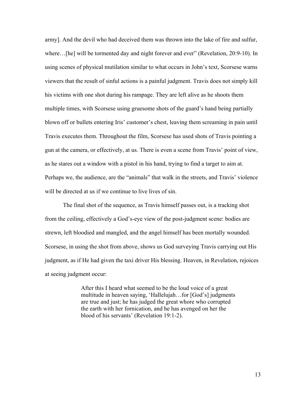army]. And the devil who had deceived them was thrown into the lake of fire and sulfur, where...[he] will be tormented day and night forever and ever" (Revelation, 20:9-10). In using scenes of physical mutilation similar to what occurs in John's text, Scorsese warns viewers that the result of sinful actions is a painful judgment. Travis does not simply kill his victims with one shot during his rampage. They are left alive as he shoots them multiple times, with Scorsese using gruesome shots of the guard's hand being partially blown off or bullets entering Iris' customer's chest, leaving them screaming in pain until Travis executes them. Throughout the film, Scorsese has used shots of Travis pointing a gun at the camera, or effectively, at us. There is even a scene from Travis' point of view, as he stares out a window with a pistol in his hand, trying to find a target to aim at. Perhaps we, the audience, are the "animals" that walk in the streets, and Travis' violence will be directed at us if we continue to live lives of sin.

The final shot of the sequence, as Travis himself passes out, is a tracking shot from the ceiling, effectively a God's-eye view of the post-judgment scene: bodies are strewn, left bloodied and mangled, and the angel himself has been mortally wounded. Scorsese, in using the shot from above, shows us God surveying Travis carrying out His judgment, as if He had given the taxi driver His blessing. Heaven, in Revelation, rejoices at seeing judgment occur:

> After this I heard what seemed to be the loud voice of a great multitude in heaven saying, 'Hallelujah…for [God's] judgments are true and just; he has judged the great whore who corrupted the earth with her fornication, and he has avenged on her the blood of his servants' (Revelation 19:1-2).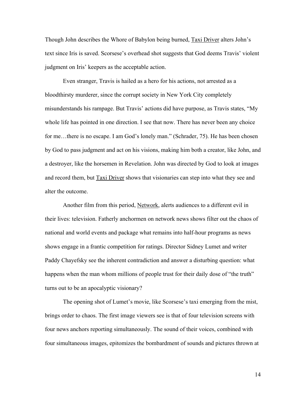Though John describes the Whore of Babylon being burned, Taxi Driver alters John's text since Iris is saved. Scorsese's overhead shot suggests that God deems Travis' violent judgment on Iris' keepers as the acceptable action.

Even stranger, Travis is hailed as a hero for his actions, not arrested as a bloodthirsty murderer, since the corrupt society in New York City completely misunderstands his rampage. But Travis' actions did have purpose, as Travis states, "My whole life has pointed in one direction. I see that now. There has never been any choice for me…there is no escape. I am God's lonely man." (Schrader, 75). He has been chosen by God to pass judgment and act on his visions, making him both a creator, like John, and a destroyer, like the horsemen in Revelation. John was directed by God to look at images and record them, but Taxi Driver shows that visionaries can step into what they see and alter the outcome.

 Another film from this period, Network, alerts audiences to a different evil in their lives: television. Fatherly anchormen on network news shows filter out the chaos of national and world events and package what remains into half-hour programs as news shows engage in a frantic competition for ratings. Director Sidney Lumet and writer Paddy Chayefsky see the inherent contradiction and answer a disturbing question: what happens when the man whom millions of people trust for their daily dose of "the truth" turns out to be an apocalyptic visionary?

 The opening shot of Lumet's movie, like Scorsese's taxi emerging from the mist, brings order to chaos. The first image viewers see is that of four television screens with four news anchors reporting simultaneously. The sound of their voices, combined with four simultaneous images, epitomizes the bombardment of sounds and pictures thrown at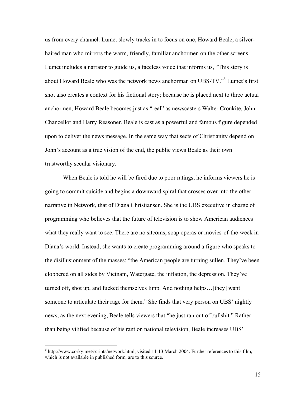us from every channel. Lumet slowly tracks in to focus on one, Howard Beale, a silverhaired man who mirrors the warm, friendly, familiar anchormen on the other screens. Lumet includes a narrator to guide us, a faceless voice that informs us, "This story is about Howard Beale who was the network news anchorman on UBS-TV."6 Lumet's first shot also creates a context for his fictional story; because he is placed next to three actual anchormen, Howard Beale becomes just as "real" as newscasters Walter Cronkite, John Chancellor and Harry Reasoner. Beale is cast as a powerful and famous figure depended upon to deliver the news message. In the same way that sects of Christianity depend on John's account as a true vision of the end, the public views Beale as their own trustworthy secular visionary.

 When Beale is told he will be fired due to poor ratings, he informs viewers he is going to commit suicide and begins a downward spiral that crosses over into the other narrative in Network, that of Diana Christiansen. She is the UBS executive in charge of programming who believes that the future of television is to show American audiences what they really want to see. There are no sitcoms, soap operas or movies-of-the-week in Diana's world. Instead, she wants to create programming around a figure who speaks to the disillusionment of the masses: "the American people are turning sullen. They've been clobbered on all sides by Vietnam, Watergate, the inflation, the depression. They've turned off, shot up, and fucked themselves limp. And nothing helps…[they] want someone to articulate their rage for them." She finds that very person on UBS' nightly news, as the next evening, Beale tells viewers that "he just ran out of bullshit." Rather than being vilified because of his rant on national television, Beale increases UBS'

<sup>&</sup>lt;sup>6</sup> http://www.corky.met/scripts/network.html, visited 11-13 March 2004. Further references to this film, which is not available in published form, are to this source.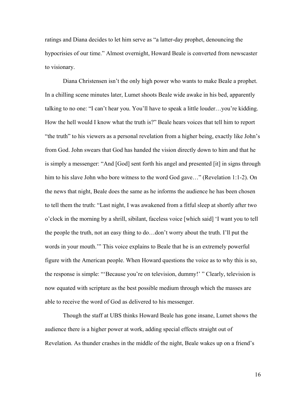ratings and Diana decides to let him serve as "a latter-day prophet, denouncing the hypocrisies of our time." Almost overnight, Howard Beale is converted from newscaster to visionary.

Diana Christensen isn't the only high power who wants to make Beale a prophet. In a chilling scene minutes later, Lumet shoots Beale wide awake in his bed, apparently talking to no one: "I can't hear you. You'll have to speak a little louder…you're kidding. How the hell would I know what the truth is?" Beale hears voices that tell him to report "the truth" to his viewers as a personal revelation from a higher being, exactly like John's from God. John swears that God has handed the vision directly down to him and that he is simply a messenger: "And [God] sent forth his angel and presented [it] in signs through him to his slave John who bore witness to the word God gave…" (Revelation 1:1-2). On the news that night, Beale does the same as he informs the audience he has been chosen to tell them the truth: "Last night, I was awakened from a fitful sleep at shortly after two o'clock in the morning by a shrill, sibilant, faceless voice [which said] 'I want you to tell the people the truth, not an easy thing to do…don't worry about the truth. I'll put the words in your mouth.'" This voice explains to Beale that he is an extremely powerful figure with the American people. When Howard questions the voice as to why this is so, the response is simple: "'Because you're on television, dummy!' " Clearly, television is now equated with scripture as the best possible medium through which the masses are able to receive the word of God as delivered to his messenger.

 Though the staff at UBS thinks Howard Beale has gone insane, Lumet shows the audience there is a higher power at work, adding special effects straight out of Revelation. As thunder crashes in the middle of the night, Beale wakes up on a friend's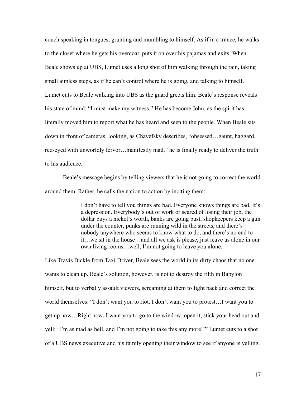couch speaking in tongues, grunting and mumbling to himself. As if in a trance, he walks to the closet where he gets his overcoat, puts it on over his pajamas and exits. When Beale shows up at UBS, Lumet uses a long shot of him walking through the rain, taking small aimless steps, as if he can't control where he is going, and talking to himself. Lumet cuts to Beale walking into UBS as the guard greets him. Beale's response reveals his state of mind: "I must make my witness." He has become John, as the spirit has literally moved him to report what he has heard and seen to the people. When Beale sits down in front of cameras, looking, as Chayefsky describes, "obsessed…gaunt, haggard, red-eyed with unworldly fervor…manifestly mad," he is finally ready to deliver the truth to his audience.

Beale's message begins by telling viewers that he is not going to correct the world around them. Rather, he calls the nation to action by inciting them:

> I don't have to tell you things are bad. Everyone knows things are bad. It's a depression. Everybody's out of work or scared of losing their job, the dollar buys a nickel's worth, banks are going bust, shopkeepers keep a gun under the counter, punks are running wild in the streets, and there's nobody anywhere who seems to know what to do, and there's no end to it…we sit in the house…and all we ask is please, just leave us alone in our own living rooms…well, I'm not going to leave you alone.

Like Travis Bickle from Taxi Driver, Beale sees the world in its dirty chaos that no one wants to clean up. Beale's solution, however, is not to destroy the filth in Babylon himself, but to verbally assault viewers, screaming at them to fight back and correct the world themselves: "I don't want you to riot. I don't want you to protest…I want you to get up now…Right now. I want you to go to the window, open it, stick your head out and yell: 'I'm as mad as hell, and I'm not going to take this any more!'" Lumet cuts to a shot of a UBS news executive and his family opening their window to see if anyone is yelling.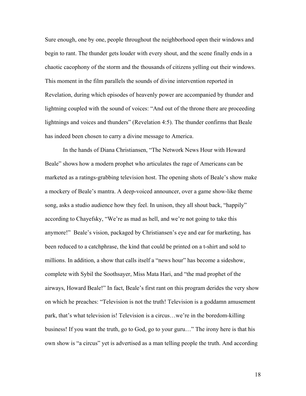Sure enough, one by one, people throughout the neighborhood open their windows and begin to rant. The thunder gets louder with every shout, and the scene finally ends in a chaotic cacophony of the storm and the thousands of citizens yelling out their windows. This moment in the film parallels the sounds of divine intervention reported in Revelation, during which episodes of heavenly power are accompanied by thunder and lightning coupled with the sound of voices: "And out of the throne there are proceeding lightnings and voices and thunders" (Revelation 4:5). The thunder confirms that Beale has indeed been chosen to carry a divine message to America.

In the hands of Diana Christiansen, "The Network News Hour with Howard Beale" shows how a modern prophet who articulates the rage of Americans can be marketed as a ratings-grabbing television host. The opening shots of Beale's show make a mockery of Beale's mantra. A deep-voiced announcer, over a game show-like theme song, asks a studio audience how they feel. In unison, they all shout back, "happily" according to Chayefsky, "We're as mad as hell, and we're not going to take this anymore!" Beale's vision, packaged by Christiansen's eye and ear for marketing, has been reduced to a catchphrase, the kind that could be printed on a t-shirt and sold to millions. In addition, a show that calls itself a "news hour" has become a sideshow, complete with Sybil the Soothsayer, Miss Mata Hari, and "the mad prophet of the airways, Howard Beale!" In fact, Beale's first rant on this program derides the very show on which he preaches: "Television is not the truth! Television is a goddamn amusement park, that's what television is! Television is a circus…we're in the boredom-killing business! If you want the truth, go to God, go to your guru…" The irony here is that his own show is "a circus" yet is advertised as a man telling people the truth. And according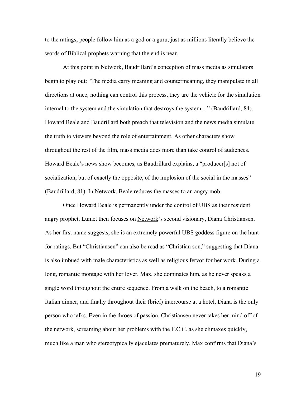to the ratings, people follow him as a god or a guru, just as millions literally believe the words of Biblical prophets warning that the end is near.

At this point in Network, Baudrillard's conception of mass media as simulators begin to play out: "The media carry meaning and countermeaning, they manipulate in all directions at once, nothing can control this process, they are the vehicle for the simulation internal to the system and the simulation that destroys the system…" (Baudrillard, 84). Howard Beale and Baudrillard both preach that television and the news media simulate the truth to viewers beyond the role of entertainment. As other characters show throughout the rest of the film, mass media does more than take control of audiences. Howard Beale's news show becomes, as Baudrillard explains, a "producer[s] not of socialization, but of exactly the opposite, of the implosion of the social in the masses" (Baudrillard, 81). In Network, Beale reduces the masses to an angry mob.

Once Howard Beale is permanently under the control of UBS as their resident angry prophet, Lumet then focuses on Network's second visionary, Diana Christiansen. As her first name suggests, she is an extremely powerful UBS goddess figure on the hunt for ratings. But "Christiansen" can also be read as "Christian son," suggesting that Diana is also imbued with male characteristics as well as religious fervor for her work. During a long, romantic montage with her lover, Max, she dominates him, as he never speaks a single word throughout the entire sequence. From a walk on the beach, to a romantic Italian dinner, and finally throughout their (brief) intercourse at a hotel, Diana is the only person who talks. Even in the throes of passion, Christiansen never takes her mind off of the network, screaming about her problems with the F.C.C. as she climaxes quickly, much like a man who stereotypically ejaculates prematurely. Max confirms that Diana's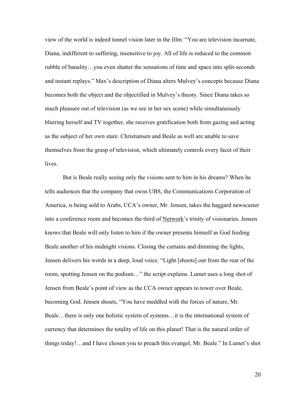view of the world is indeed tunnel vision later in the film: "You are television incarnate, Diana, indifferent to suffering, insensitive to joy. All of life is reduced to the common rubble of banality…you even shatter the sensations of time and space into split-seconds and instant replays." Max's description of Diana alters Mulvey's concepts because Diana becomes both the object and the objectified in Mulvey's theory. Since Diana takes so much pleasure out of television (as we see in her sex scene) while simultaneously blurring herself and TV together, she receives gratification both from gazing and acting as the subject of her own stare. Christiansen and Beale as well are unable to save themselves from the grasp of television, which ultimately controls every facet of their **lives** 

But is Beale really seeing only the visions sent to him in his dreams? When he tells audiences that the company that owns UBS, the Communications Corporation of America, is being sold to Arabs, CCA's owner, Mr. Jensen, takes the haggard newscaster into a conference room and becomes the third of Network's trinity of visionaries. Jensen knows that Beale will only listen to him if the owner presents himself as God feeding Beale another of his midnight visions. Closing the curtains and dimming the lights, Jensen delivers his words in a deep, loud voice. "Light [shoots] out from the rear of the room, spotting Jensen on the podium…" the script explains. Lumet uses a long shot of Jensen from Beale's point of view as the CCA owner appears to tower over Beale, becoming God. Jensen shouts, "You have meddled with the forces of nature, Mr. Beale…there is only one holistic system of systems…it is the international system of currency that determines the totality of life on this planet! That is the natural order of things today!…and I have chosen you to preach this evangel, Mr. Beale." In Lumet's shot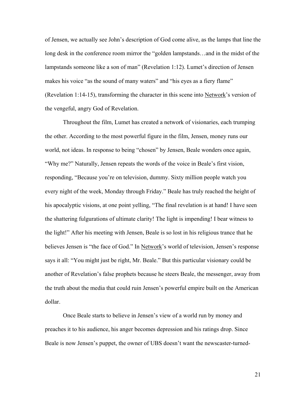of Jensen, we actually see John's description of God come alive, as the lamps that line the long desk in the conference room mirror the "golden lampstands…and in the midst of the lampstands someone like a son of man" (Revelation 1:12). Lumet's direction of Jensen makes his voice "as the sound of many waters" and "his eyes as a fiery flame" (Revelation 1:14-15), transforming the character in this scene into Network's version of the vengeful, angry God of Revelation.

Throughout the film, Lumet has created a network of visionaries, each trumping the other. According to the most powerful figure in the film, Jensen, money runs our world, not ideas. In response to being "chosen" by Jensen, Beale wonders once again, "Why me?" Naturally, Jensen repeats the words of the voice in Beale's first vision, responding, "Because you're on television, dummy. Sixty million people watch you every night of the week, Monday through Friday." Beale has truly reached the height of his apocalyptic visions, at one point yelling, "The final revelation is at hand! I have seen the shattering fulgurations of ultimate clarity! The light is impending! I bear witness to the light!" After his meeting with Jensen, Beale is so lost in his religious trance that he believes Jensen is "the face of God." In Network's world of television, Jensen's response says it all: "You might just be right, Mr. Beale." But this particular visionary could be another of Revelation's false prophets because he steers Beale, the messenger, away from the truth about the media that could ruin Jensen's powerful empire built on the American dollar.

Once Beale starts to believe in Jensen's view of a world run by money and preaches it to his audience, his anger becomes depression and his ratings drop. Since Beale is now Jensen's puppet, the owner of UBS doesn't want the newscaster-turned-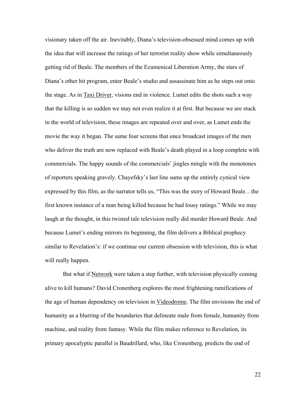visionary taken off the air. Inevitably, Diana's television-obsessed mind comes up with the idea that will increase the ratings of her terrorist reality show while simultaneously getting rid of Beale. The members of the Ecumenical Liberation Army, the stars of Diana's other hit program, enter Beale's studio and assassinate him as he steps out onto the stage. As in Taxi Driver, visions end in violence. Lumet edits the shots such a way that the killing is so sudden we may not even realize it at first. But because we are stuck in the world of television, these images are repeated over and over, as Lumet ends the movie the way it began. The same four screens that once broadcast images of the men who deliver the truth are now replaced with Beale's death played in a loop complete with commercials. The happy sounds of the commercials' jingles mingle with the monotones of reporters speaking gravely. Chayefsky's last line sums up the entirely cynical view expressed by this film, as the narrator tells us, "This was the story of Howard Beale…the first known instance of a man being killed because he had lousy ratings." While we may laugh at the thought, in this twisted tale television really did murder Howard Beale. And because Lumet's ending mirrors its beginning, the film delivers a Biblical prophecy similar to Revelation's: if we continue our current obsession with television, this is what will really happen.

But what if Network were taken a step further, with television physically coming alive to kill humans? David Cronenberg explores the most frightening ramifications of the age of human dependency on television in Videodrome. The film envisions the end of humanity as a blurring of the boundaries that delineate male from female, humanity from machine, and reality from fantasy. While the film makes reference to Revelation, its primary apocalyptic parallel is Baudrillard, who, like Cronenberg, predicts the end of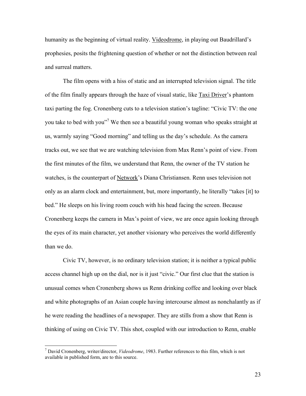humanity as the beginning of virtual reality. Videodrome, in playing out Baudrillard's prophesies, posits the frightening question of whether or not the distinction between real and surreal matters.

The film opens with a hiss of static and an interrupted television signal. The title of the film finally appears through the haze of visual static, like Taxi Driver's phantom taxi parting the fog. Cronenberg cuts to a television station's tagline: "Civic TV: the one you take to bed with you"<sup>7</sup> We then see a beautiful young woman who speaks straight at us, warmly saying "Good morning" and telling us the day's schedule. As the camera tracks out, we see that we are watching television from Max Renn's point of view. From the first minutes of the film, we understand that Renn, the owner of the TV station he watches, is the counterpart of Network's Diana Christiansen. Renn uses television not only as an alarm clock and entertainment, but, more importantly, he literally "takes [it] to bed." He sleeps on his living room couch with his head facing the screen. Because Cronenberg keeps the camera in Max's point of view, we are once again looking through the eyes of its main character, yet another visionary who perceives the world differently than we do.

Civic TV, however, is no ordinary television station; it is neither a typical public access channel high up on the dial, nor is it just "civic." Our first clue that the station is unusual comes when Cronenberg shows us Renn drinking coffee and looking over black and white photographs of an Asian couple having intercourse almost as nonchalantly as if he were reading the headlines of a newspaper. They are stills from a show that Renn is thinking of using on Civic TV. This shot, coupled with our introduction to Renn, enable

 $\overline{a}$ 

<sup>7</sup> David Cronenberg, writer/director, *Videodrome*, 1983. Further references to this film, which is not available in published form, are to this source.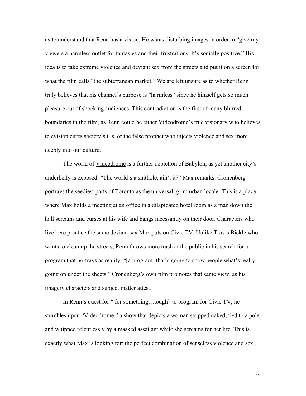us to understand that Renn has a vision. He wants disturbing images in order to "give my viewers a harmless outlet for fantasies and their frustrations. It's socially positive." His idea is to take extreme violence and deviant sex from the streets and put it on a screen for what the film calls "the subterranean market." We are left unsure as to whether Renn truly believes that his channel's purpose is "harmless" since he himself gets so much pleasure out of shocking audiences. This contradiction is the first of many blurred boundaries in the film, as Renn could be either Videodrome's true visionary who believes television cures society's ills, or the false prophet who injects violence and sex more deeply into our culture.

The world of Videodrome is a further depiction of Babylon, as yet another city's underbelly is exposed: "The world's a shithole, ain't it?" Max remarks. Cronenberg portrays the seediest parts of Toronto as the universal, grim urban locale. This is a place where Max holds a meeting at an office in a dilapidated hotel room as a man down the hall screams and curses at his wife and bangs incessantly on their door. Characters who live here practice the same deviant sex Max puts on Civic TV. Unlike Travis Bickle who wants to clean up the streets, Renn throws more trash at the public in his search for a program that portrays as reality: "[a program] that's going to show people what's really going on under the sheets." Cronenberg's own film promotes that same view, as his imagery characters and subject matter attest.

In Renn's quest for " for something...tough" to program for Civic TV, he stumbles upon "Videodrome," a show that depicts a woman stripped naked, tied to a pole and whipped relentlessly by a masked assailant while she screams for her life. This is exactly what Max is looking for: the perfect combination of senseless violence and sex,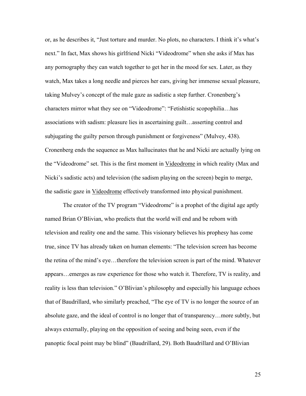or, as he describes it, "Just torture and murder. No plots, no characters. I think it's what's next." In fact, Max shows his girlfriend Nicki "Videodrome" when she asks if Max has any pornography they can watch together to get her in the mood for sex. Later, as they watch, Max takes a long needle and pierces her ears, giving her immense sexual pleasure, taking Mulvey's concept of the male gaze as sadistic a step further. Cronenberg's characters mirror what they see on "Videodrome": "Fetishistic scopophilia…has associations with sadism: pleasure lies in ascertaining guilt…asserting control and subjugating the guilty person through punishment or forgiveness" (Mulvey, 438). Cronenberg ends the sequence as Max hallucinates that he and Nicki are actually lying on the "Videodrome" set. This is the first moment in Videodrome in which reality (Max and Nicki's sadistic acts) and television (the sadism playing on the screen) begin to merge, the sadistic gaze in Videodrome effectively transformed into physical punishment.

The creator of the TV program "Videodrome" is a prophet of the digital age aptly named Brian O'Blivian, who predicts that the world will end and be reborn with television and reality one and the same. This visionary believes his prophesy has come true, since TV has already taken on human elements: "The television screen has become the retina of the mind's eye…therefore the television screen is part of the mind. Whatever appears…emerges as raw experience for those who watch it. Therefore, TV is reality, and reality is less than television." O'Blivian's philosophy and especially his language echoes that of Baudrillard, who similarly preached, "The eye of TV is no longer the source of an absolute gaze, and the ideal of control is no longer that of transparency…more subtly, but always externally, playing on the opposition of seeing and being seen, even if the panoptic focal point may be blind" (Baudrillard, 29). Both Baudrillard and O'Blivian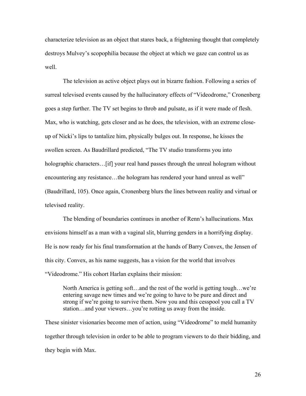characterize television as an object that stares back, a frightening thought that completely destroys Mulvey's scopophilia because the object at which we gaze can control us as well.

The television as active object plays out in bizarre fashion. Following a series of surreal televised events caused by the hallucinatory effects of "Videodrome," Cronenberg goes a step further. The TV set begins to throb and pulsate, as if it were made of flesh. Max, who is watching, gets closer and as he does, the television, with an extreme closeup of Nicki's lips to tantalize him, physically bulges out. In response, he kisses the swollen screen. As Baudrillard predicted, "The TV studio transforms you into holographic characters…[if] your real hand passes through the unreal hologram without encountering any resistance…the hologram has rendered your hand unreal as well" (Baudrillard, 105). Once again, Cronenberg blurs the lines between reality and virtual or televised reality.

The blending of boundaries continues in another of Renn's hallucinations. Max envisions himself as a man with a vaginal slit, blurring genders in a horrifying display. He is now ready for his final transformation at the hands of Barry Convex, the Jensen of this city. Convex, as his name suggests, has a vision for the world that involves "Videodrome." His cohort Harlan explains their mission:

North America is getting soft…and the rest of the world is getting tough…we're entering savage new times and we're going to have to be pure and direct and strong if we're going to survive them. Now you and this cesspool you call a TV station…and your viewers…you're rotting us away from the inside.

These sinister visionaries become men of action, using "Videodrome" to meld humanity together through television in order to be able to program viewers to do their bidding, and they begin with Max.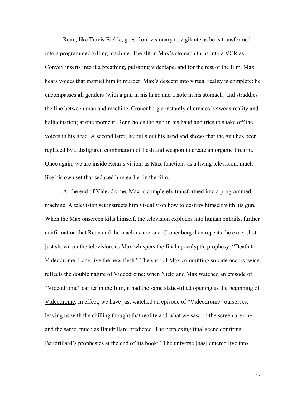Renn, like Travis Bickle, goes from visionary to vigilante as he is transformed into a programmed killing machine. The slit in Max's stomach turns into a VCR as Convex inserts into it a breathing, pulsating videotape, and for the rest of the film, Max hears voices that instruct him to murder. Max's descent into virtual reality is complete: he encompasses all genders (with a gun in his hand and a hole in his stomach) and straddles the line between man and machine. Cronenberg constantly alternates between reality and hallucination; at one moment, Renn holds the gun in his hand and tries to shake off the voices in his head. A second later, he pulls out his hand and shows that the gun has been replaced by a disfigured combination of flesh and weapon to create an organic firearm. Once again, we are inside Renn's vision, as Max functions as a living television, much like his own set that seduced him earlier in the film.

At the end of Videodrome, Max is completely transformed into a programmed machine. A television set instructs him visually on how to destroy himself with his gun. When the Max onscreen kills himself, the television explodes into human entrails, further confirmation that Renn and the machine are one. Cronenberg then repeats the exact shot just shown on the television, as Max whispers the final apocalyptic prophesy: "Death to Videodrome. Long live the new flesh." The shot of Max committing suicide occurs twice, reflects the double nature of Videodrome: when Nicki and Max watched an episode of "Videodrome" earlier in the film, it had the same static-filled opening as the beginning of Videodrome. In effect, we have just watched an episode of "Videodrome" ourselves, leaving us with the chilling thought that reality and what we saw on the screen are one and the same, much as Baudrillard predicted. The perplexing final scene confirms Baudrillard's prophesies at the end of his book: "The universe [has] entered live into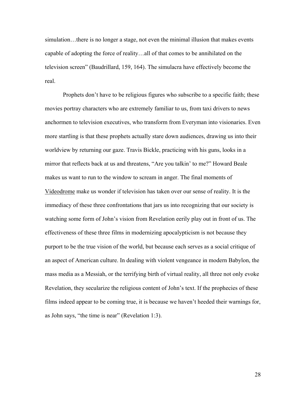simulation…there is no longer a stage, not even the minimal illusion that makes events capable of adopting the force of reality…all of that comes to be annihilated on the television screen" (Baudrillard, 159, 164). The simulacra have effectively become the real.

Prophets don't have to be religious figures who subscribe to a specific faith; these movies portray characters who are extremely familiar to us, from taxi drivers to news anchormen to television executives, who transform from Everyman into visionaries. Even more startling is that these prophets actually stare down audiences, drawing us into their worldview by returning our gaze. Travis Bickle, practicing with his guns, looks in a mirror that reflects back at us and threatens, "Are you talkin' to me?" Howard Beale makes us want to run to the window to scream in anger. The final moments of Videodrome make us wonder if television has taken over our sense of reality. It is the immediacy of these three confrontations that jars us into recognizing that our society is watching some form of John's vision from Revelation eerily play out in front of us. The effectiveness of these three films in modernizing apocalypticism is not because they purport to be the true vision of the world, but because each serves as a social critique of an aspect of American culture. In dealing with violent vengeance in modern Babylon, the mass media as a Messiah, or the terrifying birth of virtual reality, all three not only evoke Revelation, they secularize the religious content of John's text. If the prophecies of these films indeed appear to be coming true, it is because we haven't heeded their warnings for, as John says, "the time is near" (Revelation 1:3).